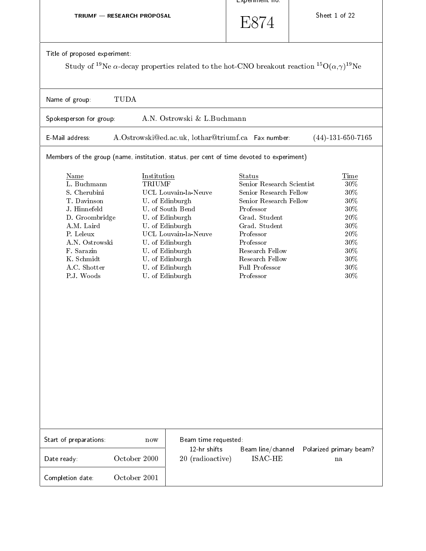|                                                                                                                                                                                                    |                              |                                                                                                                                                                                                                          | Experiment no.                                                                                                                                                                                                                               |                                                                                                                                                       |
|----------------------------------------------------------------------------------------------------------------------------------------------------------------------------------------------------|------------------------------|--------------------------------------------------------------------------------------------------------------------------------------------------------------------------------------------------------------------------|----------------------------------------------------------------------------------------------------------------------------------------------------------------------------------------------------------------------------------------------|-------------------------------------------------------------------------------------------------------------------------------------------------------|
| <b>TRIUMF - RESEARCH PROPOSAL</b>                                                                                                                                                                  |                              |                                                                                                                                                                                                                          | E874                                                                                                                                                                                                                                         | Sheet 1 of 22                                                                                                                                         |
| Title of proposed experiment:                                                                                                                                                                      |                              |                                                                                                                                                                                                                          |                                                                                                                                                                                                                                              | Study of <sup>19</sup> Ne $\alpha$ -decay properties related to the hot-CNO breakout reaction <sup>15</sup> O( $\alpha$ , $\gamma$ ) <sup>19</sup> Ne |
| Name of group:                                                                                                                                                                                     | TUDA                         |                                                                                                                                                                                                                          |                                                                                                                                                                                                                                              |                                                                                                                                                       |
| Spokesperson for group:                                                                                                                                                                            |                              | A.N. Ostrowski & L.Buchmann                                                                                                                                                                                              |                                                                                                                                                                                                                                              |                                                                                                                                                       |
| E-Mail address:                                                                                                                                                                                    |                              | A.Ostrowski@ed.ac.uk, lothar@triumf.ca Fax number:                                                                                                                                                                       |                                                                                                                                                                                                                                              | $(44)$ -131-650-7165                                                                                                                                  |
| Members of the group (name, institution, status, per cent of time devoted to experiment)                                                                                                           |                              |                                                                                                                                                                                                                          |                                                                                                                                                                                                                                              |                                                                                                                                                       |
| <b>Name</b><br>L. Buchmann<br>S. Cherubini<br>T. Davinson<br>J. Hinnefeld<br>D. Groombridge<br>A.M. Laird<br>P. Leleux<br>A.N. Ostrowski<br>F. Sarazin<br>K. Schmidt<br>A.C. Shotter<br>P.J. Woods | Institution<br><b>TRIUMF</b> | UCL Louvain-la-Neuve<br>U. of Edinburgh<br>U. of South Bend<br>U. of Edinburgh<br>U. of Edinburgh<br>UCL Louvain-la-Neuve<br>U. of Edinburgh<br>U. of Edinburgh<br>U. of Edinburgh<br>U. of Edinburgh<br>U. of Edinburgh | <b>Status</b><br>Senior Research Scientist<br>Senior Research Fellow<br>Senior Research Fellow<br>Professor<br>Grad. Student<br>Grad. Student<br>Professor<br>Professor<br>Research Fellow<br>Research Fellow<br>Full Professor<br>Professor | Time<br>$30\%$<br>$30\%$<br>$30\%$<br>$30\%$<br>$20\%$<br>$30\%$<br>$20\%$<br>$30\%$<br>$30\%$<br>$30\%$<br>$30\%$<br>$30\%$                          |
| Start of preparations:                                                                                                                                                                             | now                          | Beam time requested:<br>12 hr shifts                                                                                                                                                                                     | Beam line/channel                                                                                                                                                                                                                            | Polarized primary beam?                                                                                                                               |
| Date ready:                                                                                                                                                                                        | October 2000                 | 20 (radioactive)                                                                                                                                                                                                         | <b>ISAC-HE</b>                                                                                                                                                                                                                               | na                                                                                                                                                    |
| Completion date:                                                                                                                                                                                   | October 2001                 |                                                                                                                                                                                                                          |                                                                                                                                                                                                                                              |                                                                                                                                                       |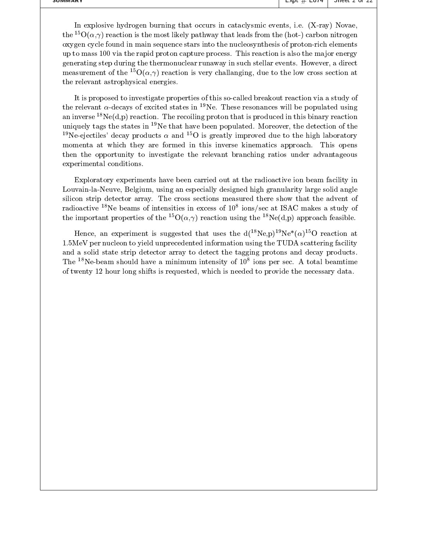in explosive in explosive density that occurs in catacle is that of the set  $\mu$  is a complete  $\mu$  $\mathsf{tric} = \mathsf{O}(\alpha, \gamma)$  reaction is the most likely pathway that leads from the (not-) carbon nitrogen  $\blacksquare$ oxygen cycle found in main sequence stars into the nucleosynthesis of protonrich elements up to mass 100 via the rapid proton capture process. This reaction is also the major energy  $\mathbf u$  and the thermonuclear run at the thermonuclear run at the thermonuclear run  $\mathbf u$  $m$ easurement of the  $\sim$  O( $\alpha, \gamma$ ) reaction is very challanging, que to the low cross section at  $\qquad$ the relevant astrophysical energies

It is proposed to investigate properties of this socalled breakout reaction via a study of the relevant  $\alpha$ -decays of excited states in <sup>19</sup>Ne. These resonances will be populated using an inverse  $\cdot$  requisition. The recoiling proton that is produced in this binary reaction  $\cdot$  . The reaction uniquely tags the states in The that have been populated. Moreover, the detection of the the state of  $\sim$ The ejectries decay products  $\alpha$  and TV is greatly improved due to the high laboratory  $\qquad$ momenta at which they are formed in this inverse kinematics approach This opens then the opportunity to investigate the relevant branching ratios under advantageous experimental conditions

Exploratory experiments have been carried out at the radioactive ion beam facility in LouvainlaNeuve- Belgium- using an especially designed high granularity large solid angle silicon strip detector array. The cross sections measured there show that the advent of radioactive <sup>--</sup>ive beams of intensities in excess of to lons/sec at ISAC makes a study of the study of the important properties of the  $\Gamma\cup(\alpha,\gamma)$  reaction using the  $\Gamma\cap e(\alpha,p)$  approach feasible.  $\qquad$   $\qquad$ 

Hence, an experiment is suggested that uses the  $d(\top Ne, p)$  ne- $(\alpha)$  or reaction at  $\top$  $1.5\text{MeV}$  per nucleon to yield unprecedented information using the TUDA scattering facility and a solid state strip detector array to detect the tagging protons and decay products. The Nebeam should have a minimum intensity of  ions per sec A total beamtime of twenty hour long shifts is requested- which is needed to provide the necessary data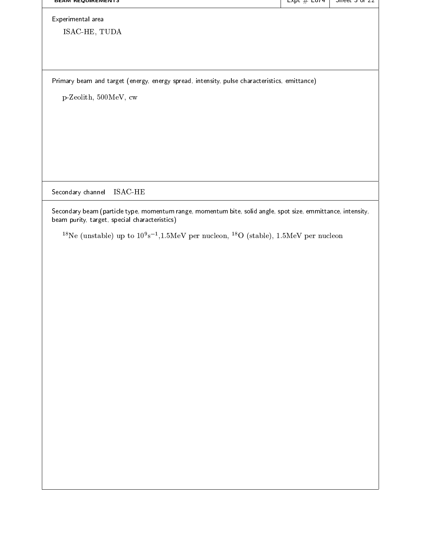| <u>BEAM REQUIREMENTS</u>                                                                     | $\frac{1}{2}$ $\frac{1}{2}$ $\frac{1}{2}$ $\frac{1}{2}$ $\frac{1}{2}$ $\frac{1}{2}$ $\frac{1}{2}$ $\frac{1}{2}$ $\frac{1}{2}$ $\frac{1}{2}$ $\frac{1}{2}$ $\frac{1}{2}$ $\frac{1}{2}$ $\frac{1}{2}$ $\frac{1}{2}$ $\frac{1}{2}$ $\frac{1}{2}$ $\frac{1}{2}$ $\frac{1}{2}$ $\frac{1}{2}$ $\frac{1}{2}$ $\frac{1}{2}$ | <del>oneer or zz</del> |
|----------------------------------------------------------------------------------------------|---------------------------------------------------------------------------------------------------------------------------------------------------------------------------------------------------------------------------------------------------------------------------------------------------------------------|------------------------|
| Experimental area                                                                            |                                                                                                                                                                                                                                                                                                                     |                        |
| ISAC-HE, TUDA                                                                                |                                                                                                                                                                                                                                                                                                                     |                        |
|                                                                                              |                                                                                                                                                                                                                                                                                                                     |                        |
|                                                                                              |                                                                                                                                                                                                                                                                                                                     |                        |
| Primary beam and target (energy, energy spread, intensity, pulse characteristics, emittance) |                                                                                                                                                                                                                                                                                                                     |                        |
|                                                                                              |                                                                                                                                                                                                                                                                                                                     |                        |
| p-Zeolith, 500MeV, cw                                                                        |                                                                                                                                                                                                                                                                                                                     |                        |
|                                                                                              |                                                                                                                                                                                                                                                                                                                     |                        |
|                                                                                              |                                                                                                                                                                                                                                                                                                                     |                        |
|                                                                                              |                                                                                                                                                                                                                                                                                                                     |                        |
|                                                                                              |                                                                                                                                                                                                                                                                                                                     |                        |
|                                                                                              |                                                                                                                                                                                                                                                                                                                     |                        |
|                                                                                              |                                                                                                                                                                                                                                                                                                                     |                        |

Secondary channel ISACHE

Secondary beam particle type momentum range momentum bite solid angle spot size emmittance intensity beam purity target special characteristics

The (unstable) up to TU's  $\pi$ , i. SMEV per nucleon,  $\pi$ O (stable), T. SMEV per nucleon  $\pi$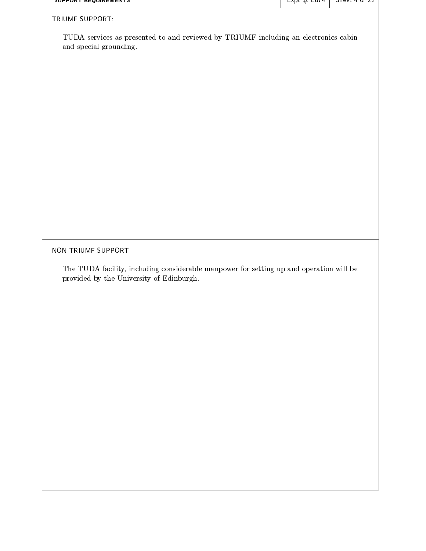| SUPPURT REQUIREMENTS                                                                                                                | $\frac{1}{2}$ $\frac{1}{2}$ $\frac{1}{2}$ $\frac{1}{2}$ $\frac{1}{2}$ $\frac{1}{2}$ $\frac{1}{2}$ $\frac{1}{2}$ $\frac{1}{2}$ $\frac{1}{2}$ $\frac{1}{2}$ $\frac{1}{2}$ $\frac{1}{2}$ $\frac{1}{2}$ $\frac{1}{2}$ $\frac{1}{2}$ $\frac{1}{2}$ $\frac{1}{2}$ $\frac{1}{2}$ $\frac{1}{2}$ $\frac{1}{2}$ $\frac{1}{2}$ | $\frac{3}{2}$ |
|-------------------------------------------------------------------------------------------------------------------------------------|---------------------------------------------------------------------------------------------------------------------------------------------------------------------------------------------------------------------------------------------------------------------------------------------------------------------|---------------|
| TRIUMF SUPPORT:                                                                                                                     |                                                                                                                                                                                                                                                                                                                     |               |
| TUDA services as presented to and reviewed by TRIUMF including an electronics cabin<br>and special grounding.                       |                                                                                                                                                                                                                                                                                                                     |               |
|                                                                                                                                     |                                                                                                                                                                                                                                                                                                                     |               |
|                                                                                                                                     |                                                                                                                                                                                                                                                                                                                     |               |
|                                                                                                                                     |                                                                                                                                                                                                                                                                                                                     |               |
|                                                                                                                                     |                                                                                                                                                                                                                                                                                                                     |               |
|                                                                                                                                     |                                                                                                                                                                                                                                                                                                                     |               |
|                                                                                                                                     |                                                                                                                                                                                                                                                                                                                     |               |
|                                                                                                                                     |                                                                                                                                                                                                                                                                                                                     |               |
|                                                                                                                                     |                                                                                                                                                                                                                                                                                                                     |               |
|                                                                                                                                     |                                                                                                                                                                                                                                                                                                                     |               |
| NON-TRIUMF SUPPORT                                                                                                                  |                                                                                                                                                                                                                                                                                                                     |               |
| The TUDA facility, including considerable manpower for setting up and operation will be<br>provided by the University of Edinburgh. |                                                                                                                                                                                                                                                                                                                     |               |
|                                                                                                                                     |                                                                                                                                                                                                                                                                                                                     |               |
|                                                                                                                                     |                                                                                                                                                                                                                                                                                                                     |               |
|                                                                                                                                     |                                                                                                                                                                                                                                                                                                                     |               |
|                                                                                                                                     |                                                                                                                                                                                                                                                                                                                     |               |
|                                                                                                                                     |                                                                                                                                                                                                                                                                                                                     |               |
|                                                                                                                                     |                                                                                                                                                                                                                                                                                                                     |               |
|                                                                                                                                     |                                                                                                                                                                                                                                                                                                                     |               |
|                                                                                                                                     |                                                                                                                                                                                                                                                                                                                     |               |
|                                                                                                                                     |                                                                                                                                                                                                                                                                                                                     |               |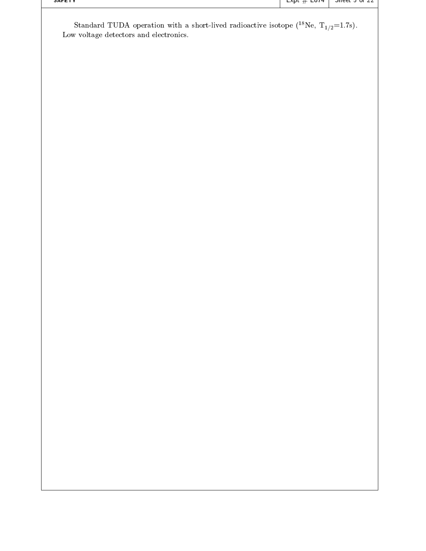| SAFEIT                                                                                                                                                                 | $\mathsf{exp}(\# \mathsf{cov})$ | Silend 2 or 22 |
|------------------------------------------------------------------------------------------------------------------------------------------------------------------------|---------------------------------|----------------|
| Standard TUDA operation with a short-lived radioactive isotope ( <sup>18</sup> Ne, T <sub>1/2</sub> =1.7s).<br>$\operatorname{Low}$ voltage detectors and electronics. |                                 |                |
|                                                                                                                                                                        |                                 |                |
|                                                                                                                                                                        |                                 |                |
|                                                                                                                                                                        |                                 |                |
|                                                                                                                                                                        |                                 |                |
|                                                                                                                                                                        |                                 |                |
|                                                                                                                                                                        |                                 |                |
|                                                                                                                                                                        |                                 |                |
|                                                                                                                                                                        |                                 |                |
|                                                                                                                                                                        |                                 |                |
|                                                                                                                                                                        |                                 |                |
|                                                                                                                                                                        |                                 |                |
|                                                                                                                                                                        |                                 |                |
|                                                                                                                                                                        |                                 |                |
|                                                                                                                                                                        |                                 |                |
|                                                                                                                                                                        |                                 |                |
|                                                                                                                                                                        |                                 |                |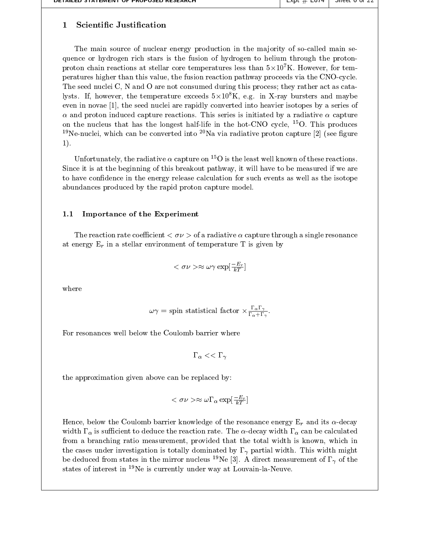### $\mathbf 1$ **Scientific Justification**

The main source of nuclear energy production in the majority of so-called main sequence or hydrogen rich starsis the fusion of hydrogen to helium through the proton proton chain reactions at stellar core temperatures less than  $5\times10^5$  K. However, for tem-  $\hskip 1.6cm +$ peratures higher than this value- the fusion reaction pathway proceeds via the CNOcycle The seed nuclei C-consumed during the seed nuclei C-consumed during this process they rather act as catalogue lysts. If, however, the temperature exceeds  $3 \times 10^7$  K, e.g. In  $\Lambda$ -ray bursters and maybe the final problem of even in novae <sub>l</sub>ij van de seed into heavier is are rapidly converted into heavier is series of the series of the  $\alpha$  and proton induced capture reactions. This series is initiated by a radiative  $\alpha$  capture on the nucleus that has the longest half-life in the hot-CNO cycle,  $\;\;$  O. This produces  $\;\;$  $\lceil \cdot \rceil$ Ne-Huclei. Which can be converted into  $\lceil \cdot \rceil$ Na via radiative proton capture  $\lceil z \rceil$  (see figure  $\lceil \cdot \rceil$  $1$ ).

Unfortunately, the radiative  $\alpha$  capture on  $\sim$  O is the least well known of these reactions.  $\qquad$   $\qquad$   $\qquad$  $S$  is at the beginning of this breakout pathway- it will have to be measured if we are measured if  $\alpha$ to have confidence in the energy release calculation for such events as well as the isotope abundances produced by the rapid proton capture model

## 1.1 Importance of the Experiment

The reaction rate coefficient -  $\alpha$  are resonance in the process and resonance resonance in the coefficient of at energy  $E_r$  in a stellar environment of temperature T is given by

$$
<\sigma \nu> \approx \omega \gamma \exp[\tfrac{-E_r}{kT}]
$$

where

$$
\omega\gamma = \text{spin statistical factor} \times \frac{\Gamma_{\alpha}\Gamma_{\gamma}}{\Gamma_{\alpha}+\Gamma_{\gamma}}.
$$

For resonances well below the Coulomb barrier where

 -the contract of the contract of the contract of the contract of the contract of the contract of the contract of

the approximation given above can be replaced by

$$
<\sigma \nu> \approx \omega \Gamma_\alpha \exp[\tfrac{-E_r}{kT}]
$$

Hence- below the Coulomb barrier knowledge of the resonance energy Er and its decay width  $\Gamma_{\alpha}$  is sufficient to deduce the reaction rate. The  $\alpha$ -decay width  $\Gamma_{\alpha}$  can be calculated from a branching ratio measurement- provided that the total width is known- which in the cases under investigation is to thing width might particle width might might width might. This width might be deduced from states in the infrior nucleus  $\left\Vert \mathbf{N}\right\Vert$  . A direct measurement of  $\mathbf{I}_{\mathcal{N}}$  of the  $\left\Vert \cdot\right\Vert$ states of interest in <sup>19</sup>Ne is currently under way at Louvain-la-Neuve.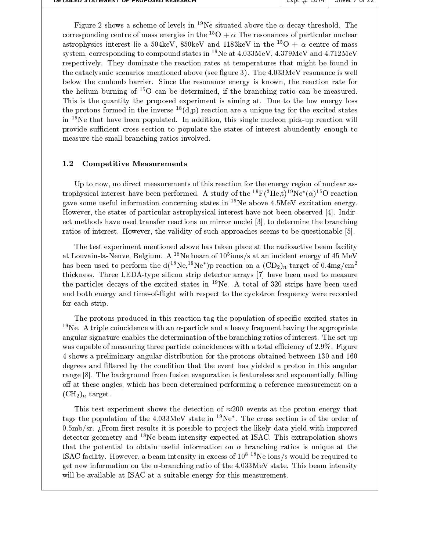| DETAILED STATEMENT OF PROPOSED RESEARCH | $EXUL \# LOI4$<br><b>SHEEL LOT</b> |  |
|-----------------------------------------|------------------------------------|--|
|-----------------------------------------|------------------------------------|--|

Figure 2 shows a scheme of levels in <sup>19</sup>Ne situated above the  $\alpha$ -decay threshold. The corresponding centre of mass energies in the  $\|\nabla + \alpha\|$  ine resonances of particular nuclear  $\|\cdot\|$ astrophysics interest he a  $\mathfrak{d}04$ keV,  $\mathfrak{d}00$ keV and th $\mathfrak{d}000$  and  $\mathfrak{d}0000$  are  $\mathfrak{d}000$  and  $\mathfrak{d}0000$  are  $\mathfrak{d}0000$  $\mathbf s$ ystem, corresponding to compound states in  $\mathbb T$  ive at 4.055. MeV, 4.579. When and 4.712. MeV  $\qquad$ respectively. They dominate the reaction rates at temperatures that might be found in the cataclysmic scenarios mentioned above (see figure 3). The  $4.033 \text{MeV}$  resonance is well below the coulomb barrier Since the resonance energy is known- the reaction rate for  $\overline{\text{true}}$  nelium burning of  $\overline{\text{O}}$  can be determined, if the branching ratio can be measured.  $\overline{\phantom{a}}$ This is the quantity the proposed experiment is aiming at. Due to the low energy loss the protons formed in the inverse  $\{a, p\}$  reaction are a unique tag for the excited states  $\qquad$  [ in thre that have been populated. In addition, this single nucleon pick-up reaction will are provided in the c provide sufficient cross section to populate the states of interest abundently enough to measure the small branching ratios involved

#### 1.2 Competitive Measurements

Up to now- no direct measurements of this reaction for the energy region of nuclear as  $t$ rophysical interest have been performed. A study of the  $\lceil \cdot \text{r} \rceil$  ( $\lceil \cdot \text{r} \rceil$ ,  $t \rceil$ )  $\lceil \cdot \text{r} \rceil$  reaction  $\lceil \cdot \rceil$ gave some useful information concerning states in <sup>19</sup>Ne above  $4.5MeV$  excitation energy. However- the states of particular astrophysical interest have not been observed Indir ect methods have the branching reactions on mirror nuclei  $\mathcal{A}_1$  is determined the branching and a branching ration in approaches approaches the values  $\mu$  interesting approaches to be questionable questions and  $\mu$ 

The test experiment mentioned above has taken place at the radioactive beam facility at Louvain-ia-Neuve, Deigium. A – Ne beam of to tons/s at an incident energy of 45 MeV – – T has been used to perform the  $a(x)$  ine-  $p$  reaction on a  $(\cup D_2)_n$ -target of 0.4mg/cm  $\qquad$ thickness. Three LEDA-type silicon strip detector arrays [7] have been used to measure the particles decays of the excited states in  $^{19}$ Ne. A total of 320 strips have been used and both energy and time-of-flight with respect to the cyclotron frequency were recorded for each strip

The protons produced in this reaction tag the population of specific excited states in <sup>19</sup>Ne. A triple coincidence with an  $\alpha$ -particle and a heavy fragment having the appropriate angular signature enables the determination of the branching ratios of interest. The set-up was capable of measuring three particle coincidences with a total efficiency of  $2.9\%$ . Figure 4 shows a preliminary angular distribution for the protons obtained between 130 and 160 그 사람들은 아이들은 아이들은 아이들이 아이들이 아이들이 없었다. degrees and filtered by the condition that the event has yielded a proton in this angular range [8]. The background from fusion evaporation is featureless and exponentially falling o at these angles- which has been determined performing a reference measurement on a  $(\mathrm{CH}_2)_n$  target.

This test experiment shows the detection of  $\approx 200$  events at the proton energy that tags the population of the 4.055 MeV state in  $\sim$  Ne . The cross section is of the order of  $\sim$   $\sim$  $0.5 \text{mb/sr}$ . *From first results it is possible to project the likely data yield with improved* detector geometry and <sup>18</sup>Ne-beam intensity expected at ISAC. This extrapolation shows that the potential to obtain useful information on  $\alpha$  branching ratios is unique at the ISAC facility. However, a beam intensity in excess of TO  $\,$  in e-folls/s would be required to  $\,$ get new information on the  $\alpha$ -branching ratio of the 4.033MeV state. This beam intensity will be available at ISAC at a suitable energy for this measurement.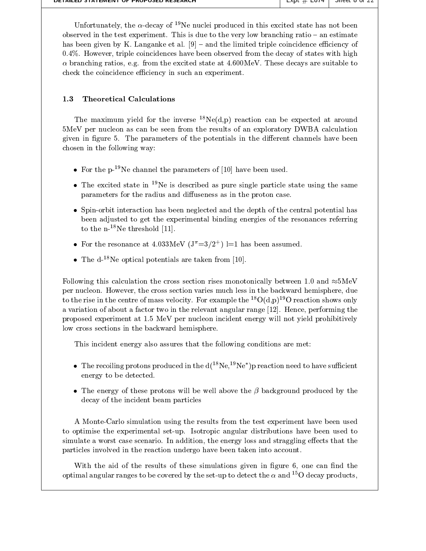| DETAILED STATEMENT OF PROPOSED RESEARCH | $EXUL \# E014$<br>$\Box$ Direct of the $\angle$ to $\angle$ |  |
|-----------------------------------------|-------------------------------------------------------------|--|
|-----------------------------------------|-------------------------------------------------------------|--|

Unfortunately, the  $\alpha$ -decay of the nuclei produced in this excited state has not been  $\Box$ observed in the test experiment. This is due to the very low branching ratio  $-$  an estimate has been given by K. Langanke et al.  $[9]$  – and the limited triple coincidence efficiency of  However- triple coincidences have been observed from the decay of states with high branching ratios- eg from the excited state at MeV These decays are suitable to check the coincidence efficiency in such an experiment.

### 1.3 Theoretical Calculations

The maximum yield for the inverse  $\Box$   $\mathrm{Ne}(\mathrm{d},\mathrm{p})$  reaction can be expected at around  $\Box$ MeV per nucleon as can be seen from the results of an exploratory DWBA calculation given in figure 5. The parameters of the potentials in the different channels have been chosen in the following way:

- $\bullet$  ror the p-me channel the parameters of [10] have been used.
- $\bullet$  The excited state in  $\lnot$  is described as pure single particle state using the same  $\qquad$ parameters for the radius and diffuseness as in the proton case.
- Spinorbit interaction has been neglected and the central central potential has been  $\sim$ been adjusted to get the experimental binding energies of the resonances referring to the  $n^{-18}$ Ne threshold [11].
- $\bullet$  ror the resonance at 4.055 MeV (J  $\equiv$  5/2 ) i=1 has been assumed
- The d<sup>-18</sup>Ne optical potentials are taken from [10].

Following this calculation the cross section rises monotonically between 1.0 and  $\approx 5$ MeV per nucleon and the cross section varies in the cross section varies much less in the cross part of the cross of to the rise in the centre of mass velocity. For example the  $\lceil \cdot \cdot \rceil$  of eaction shows only a variation of above a factor two in the factor there angular range  $\vert$  rely for the factor range  $\vert$  . The contract of  $\vert$ proposed experiment at MeV per nucleon incident energy will not yield prohibitively low cross sections in the backward hemisphere.

This incident energy also assures that the following conditions are met

- $\bullet$  -fine recoiling protons produced in the d(\* ne, \* ne ) p reaction need to have sufficient  $\hspace{0.2cm}$   $\hspace{0.2cm}$ energy to be detected
- The energy of these protons willbe well above the background produced by the decay of the incident beam particles

A Monte-Carlo simulation using the results from the test experiment have been used to optimise the experimental set-up. Isotropic angular distributions have been used to simulate a worst case scenario In addition- the energy loss and straggling eects that the particles involved in the reaction undergo have been taken into account.

with the aid of the simulations of the simulations given in galaxies with the simulations  $\mathcal{L}^{(1)}$ optimal angular ranges to be covered by the set-up to detect the  $\alpha$  and  $-\alpha$  decay products,  $-\alpha$  for  $\alpha$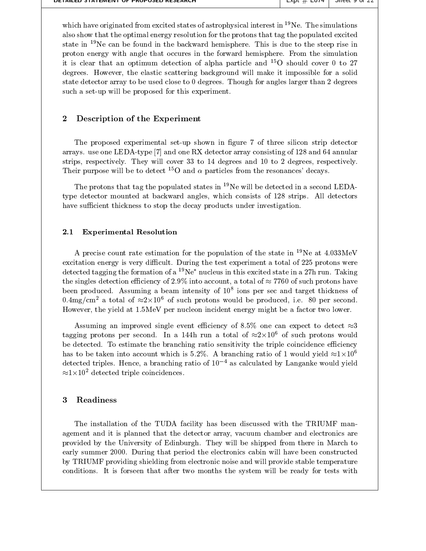| DETAILED STATEMENT OF PROPOSED RESEARCH. | $\blacksquare$ EXUL $\#$ E014 $\blacksquare$ |  |  |
|------------------------------------------|----------------------------------------------|--|--|
|------------------------------------------|----------------------------------------------|--|--|

which have originated from excited states of astrophysical interest in  $^{19}$ Ne. The simulations also show that the optimal energy resolution for the protons that tag the populated excited state in  $19$ Ne can be found in the backward hemisphere. This is due to the steep rise in proton energy with angle that occures in the forward hemisphere. From the simulation it is clear that an optimum detection of alpha particle and  $\sim$ O should cover 0 to 27  $\sim$  1 degrees However-Commission background will make it impossible for a solid make it in the solid make it is a solid ma state detector array to be used close to  $0$  degrees. Though for angles larger than 2 degrees such a set-up will be proposed for this experiment.

#### $\bf{2}$ Description of the Experiment

The proposed experimental set-up shown in figure 7 of three silicon strip detector arrays use one LEDAtype in the and and array consisting of and one and one and array consisting of  $\sim$ strips- respectively They will cover to degrees and  to degrees- respectively Their purpose will be to detect -O and particles from the resonances decays

The protons that tag the populated states in  $^{19}$ Ne will be detected in a second LEDAtype detector motion at backward angles, which consists to ant the part of strips  $\sim$ have sufficient thickness to stop the decay products under investigation.

#### $2.1$ Experimental Resolution

A precise count rate estimation for the population of the state in  $^{19}$ Ne at  $4.033$ MeV excitation energy is very difficult. During the test experiment a total of  $225$  protons were detected tagging the formation of a <sup>19</sup>Ne<sup>\*</sup> nucleus in this excited state in a 27h run. Taking . The singles detection exclusively in the single state  $\alpha$  is a total of  $\alpha$  and  $\beta$  is a total of  $\alpha$  . The single state of  $\alpha$ been produced Assuming a beam intensity of  ions per sec and target thickness of  $0.4$ mg/cm $^{-}$ a total of  $\approx$ z $\times$ 10 $^{-}$  of such protons would be produced, i.e.  $\,$ o0 per second.  $\,$ However- the yield at MeV per nucleon incident energy might be a factor two lower

Assuming an improved single event efficiency of 8.5% one can expect to detect  $\approx$ 3 tagging protons per second. In a 144n run a total of  $\approx$ z $\times$ 10° of such protons would a second and the condition of  $\approx$ be detected. To estimate the branching ratio sensitivity the triple coincidence efficiency has to be taken into account which is 5.2%. A branching ratio of 1 would yield  $\approx 1 \times 10^6$ detected triples. Hence, a branching ratio of IU – as calculated by Langanke would yield a state of the control  $\approx 1 \times 10^2$  detected triple coincidences.

# Readiness

The installation of the TUDA facility has been discussed with the TRIUMF man and it is planned that the detector array-since  $\mu$  are  $\mu$ provided by the University of Edinburgh They will be shipped from there in March to early summer 2000. During that period the electronics cabin will have been constructed by TRIUMF providing shielding from electronic noise and will provide stable temperature conditions It is forseen that after two months the system will be ready for tests with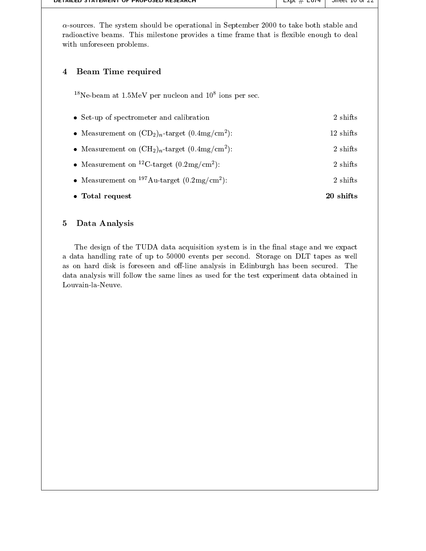| $\alpha$ -sources. The system should be operational in September 2000 to take both stable and<br>radioactive beams. This milestone provides a time frame that is flexible enough to deal<br>with unforeseen problems. |           |
|-----------------------------------------------------------------------------------------------------------------------------------------------------------------------------------------------------------------------|-----------|
| <b>Beam Time required</b><br>4                                                                                                                                                                                        |           |
| <sup>18</sup> Ne-beam at 1.5MeV per nucleon and $10^8$ ions per sec.                                                                                                                                                  |           |
| • Set-up of spectrometer and calibration                                                                                                                                                                              | 2 shifts  |
| • Measurement on $(CD_2)_n$ -target $(0.4mg/cm^2)$ :                                                                                                                                                                  | 12 shifts |
| • Measurement on $(CH_2)_n$ -target $(0.4mg/cm^2)$ :                                                                                                                                                                  | 2 shifts  |
| • Measurement on <sup>12</sup> C-target $(0.2 \text{mg/cm}^2)$ :                                                                                                                                                      | 2 shifts  |
| • Measurement on $197 \text{Au-target } (0.2 \text{mg/cm}^2)$ :                                                                                                                                                       | 2 shifts  |
| • Total request                                                                                                                                                                                                       | 20 shifts |

## Data Analysis

The design of the TUDA data acquisition system is in the final stage and we expact a data handling rate of up to 50000 events per second. Storage on DLT tapes as well as on hard disk is foreseen and off-line analysis in Edinburgh has been secured. The data analysis will follow the same lines as used for the test experiment data obtained in Louvain-la-Neuve.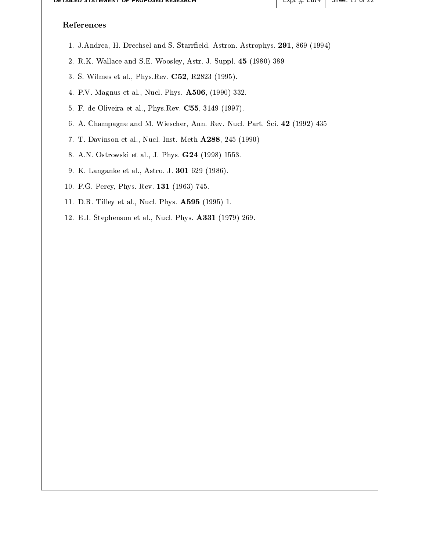| <u>DETAILED STATEMENT OF PROPOSED RESEARCH</u>                                 | $L$ xpt $#$ $L$ 014 | <del>oneer 11 or 22</del> |
|--------------------------------------------------------------------------------|---------------------|---------------------------|
| References                                                                     |                     |                           |
| 1. J.Andrea, H. Drechsel and S. Starrfield, Astron. Astrophys. 291, 869 (1994) |                     |                           |
| 2. R.K. Wallace and S.E. Woosley, Astr. J. Suppl. 45 (1980) 389                |                     |                           |
| 3. S. Wilmes et al., Phys. Rev. C52, R2823 (1995).                             |                     |                           |
| 4. P.V. Magnus et al., Nucl. Phys. <b>A506</b> , (1990) 332.                   |                     |                           |
| 5. F. de Oliveira et al., Phys. Rev. C55, 3149 (1997).                         |                     |                           |
| 6. A. Champagne and M. Wiescher, Ann. Rev. Nucl. Part. Sci. 42 (1992) 435      |                     |                           |
| 7. T. Davinson et al., Nucl. Inst. Meth A288, 245 (1990)                       |                     |                           |
| 8. A.N. Ostrowski et al., J. Phys. <b>G24</b> (1998) 1553.                     |                     |                           |
| 9. K. Langanke et al., Astro. J. 301 629 (1986).                               |                     |                           |
| 10. F.G. Perey, Phys. Rev. 131 (1963) 745.                                     |                     |                           |
| 11. D.R. Tilley et al., Nucl. Phys. <b>A595</b> (1995) 1.                      |                     |                           |
| 12. E.J. Stephenson et al., Nucl. Phys. A331 (1979) 269.                       |                     |                           |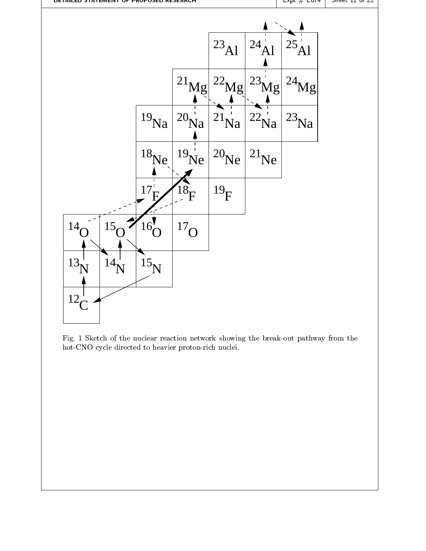

Fig. 1 Sketch of the nuclear reaction network showing the break-out pathway from the hot-CNO cycle directed to heavier proton-rich nuclei.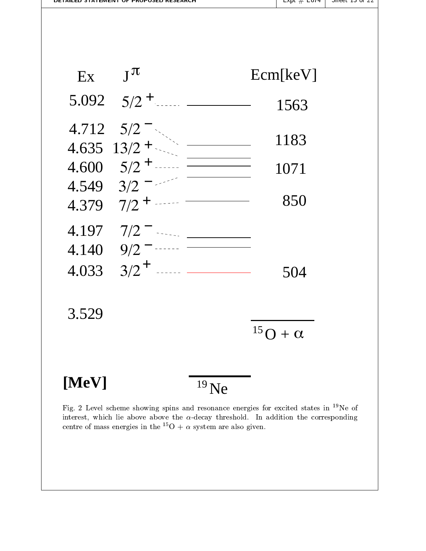

centre of mass energies in the  $\alpha$  +  $\alpha$  system are also given.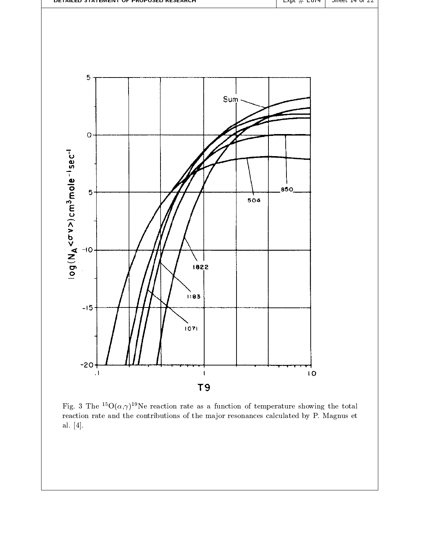

Fig.  $\delta$  The  $\Theta(\alpha, \gamma)$  we reaction rate as a function of temperature showing the total  $\blacksquare$ reaction rate and the contributions of the major resonances calculated by P. Magnus et al.  $[4]$ .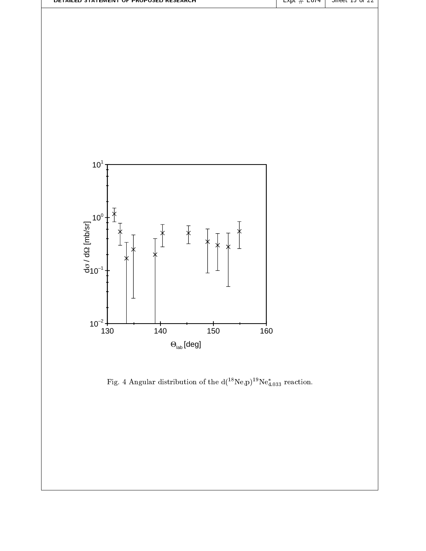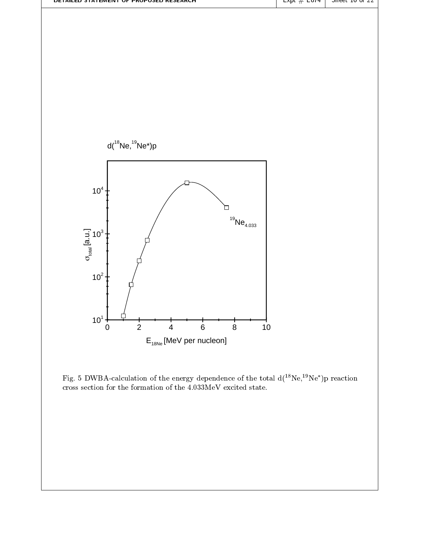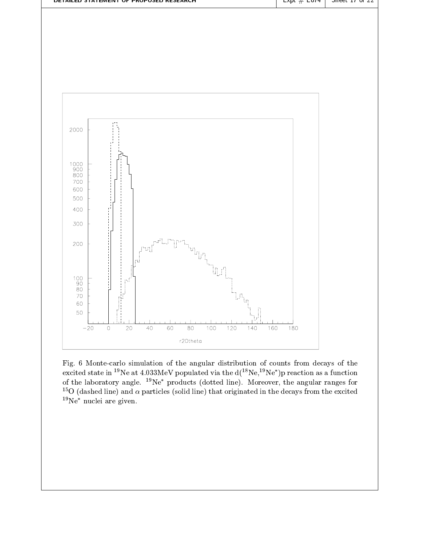

Fig Montecarlo simulation of the angular distribution of counts from decays of the excited state in  $\sim$  Ne at 4.055 MeV populated via the d(  $\sim$  Ne,  $\sim$  Ne- ) p reaction as a function  $\sim$  1 of the laboratory angle. The -products (dotted line). Moreover, the angular ranges for the Moreover- $\sim$  0 (dashed line) and  $\alpha$  particles (solid line) that originated in the decays from the excited  $\sim$  1  $19Ne^*$  nuclei are given.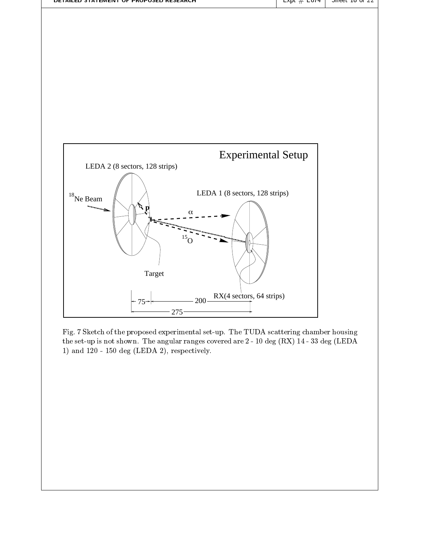

Fig. 7 Sketch of the proposed experimental set-up. The TUDA scattering chamber housing the set-up is not shown. The angular ranges covered are  $2$  - 10 deg (RX) 14 - 33 deg (LEDA  $\blacksquare$ , met de letter de la degree de la degree de la definition de la definition de la definition de la definition de la definition de la definition de la definition de la definition de la definition de la definition de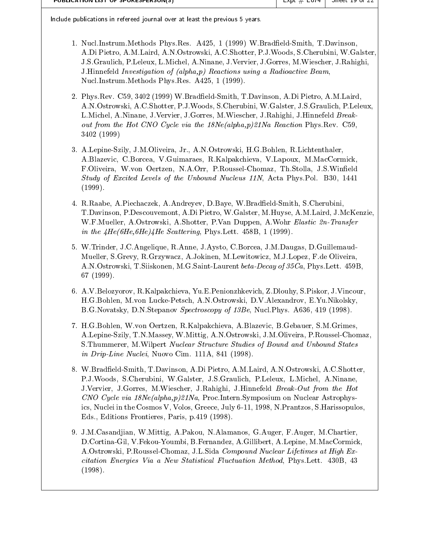| PUBLICATION LIST OF SPONESPERSONIST |  | $L$ XDL $\#$ $L$ 014   J |  |
|-------------------------------------|--|--------------------------|--|
|-------------------------------------|--|--------------------------|--|

Include publications in refereed journal over at least the previous years

- n and a-characteristic Phys. In the Latin Control of the complete  $\theta$  and the control of the control of ADi Pietro- AMLaird- ANOstrowski- ACShotter- PJWoods- SCherubini- WGalster-JSGraulich- PLeleux- LMichel- ANinane- JVervier- JGorres- MWiescher- JRahighi-JHinnefeld Investigation of alphap- Reactions using a Radioactive Beam-NuclInstrumMethods PhysRes A-
- e and the contract of the contract of the contract of the contract of the contract of the contract of the contract of the contract of the contract of the contract of the contract of the contract of the contract of the cont anostrowski-termini-termini-termini-termini-termini-termini-termini-termini-termini-termini-termini-LMichel- ANinane- JVervier- JGorres- MWiescher- JRahighi- JHinnefeld Break out from the Hot Cast Capet via the Hot Castle with the Nealphape Hotel via the Neal 3402 (1999)
- alepines is an international contracts and contracts are considered and contracts and contract of ABlazevic- CBorcea- VGuimaraes- RKalpakchieva- VLapoux- MMacCormick-FOliveira- Wvon Oertzen- NAOrr- PRousselChomaz- ThStolla- JSWineld  $S_{\rm E}$  . The Unbound Nucleus N-Levels of the Unbound Nucleus N-Levels  $\mu$  $(1999).$
- RRaabe- APiechaczek- AAndreyev- DBaye- WBradeldSmith- SCherubini-TDavinson- PDescouvemont- ADi Pietro- WGalster- MHuyse- AMLaird- JMcKenziewhich is a shown that the state of the contract of the complex of the contract of the contract of the contract of the contract of the contract of the contract of the contract of the contract of the contract of the contract in the Head and the Scattering of the Scattering Book of the Scattering and the Scattering of the Scattering o
- water-allen water and the second complete and the contract of the contract of the contract of the contract of the contract of the contract of the contract of the contract of the contract of the contract of the contract of Mueller- SGrevy- RGrzywacz- AJokinen- MLewitowicz- MJLopez- Fde Oliveira-ANOstrowski- TSiiskonen- MGSaintLaurent betaDecay of Ca- PhysLett B-
- avec a vulgarisme and the second control of the second control of the second control of the second control of t - Muon Luckey- March 2019 - March 2019 - March 2019 - March 2019 - March 2019 - March 2019 - March 2019 - March sters in the product of the second spectroscopy of  $\mathcal{L}$  , and the second  $\mathcal{L}$  and  $\mathcal{L}$  , and  $\mathcal{L}$
- ,, won on our order that a consequence of the components of the components of the consequence of the component alepines science, and the chomazo-  $\lambda$  is the choice of the choice of the contract of the choice of the choice SThummerer- MWilpert Nuclear Structure Studies of Bound and Unbound States in DripLine Nuclei-DripLine Nuclei-DripLine Nuclei-Nuclei-Nuclei-Nuclei-Nuclei-Nuclei-Nuclei-Nuclei-Nuclei-Nu
- WBradeldSmith- TDavinson- ADi Pietro- AMLaird- ANOstrowski- ACShotter-PJWoods- SCherubini- WGalster- JSGraulich- PLeleux- LMichel- ANinane-JVervier- JGorres- MWiescher- JRahighi- JHinnefeld BreakOut from the Hot re cycle via Nealphape-International Control and Nuclear Astrophysical Astrophysical Astrophysical Control of the U ics- Nuclei in the Cosmos V- Volos- Greece- July - - NPrantzos- SHarissopuloseditions are produced by the product of the set of the set of the set of the set of the set of the set of the s
- JMCasandjian- WMittig- APakou- NAlamanos- GAuger- FAuger- MChartier-DCortinaGil- VFekouYoumbi- BFernandez- AGillibert- ALepine- MMacCormick-AOstrowski- PRousselChomaz- JLSida Compound Nuclear Lifetimes at High Ex citation Energies Via a New Statistical Fluctuation Methods and Methods and Methods and Methods and Methods and  $(1998).$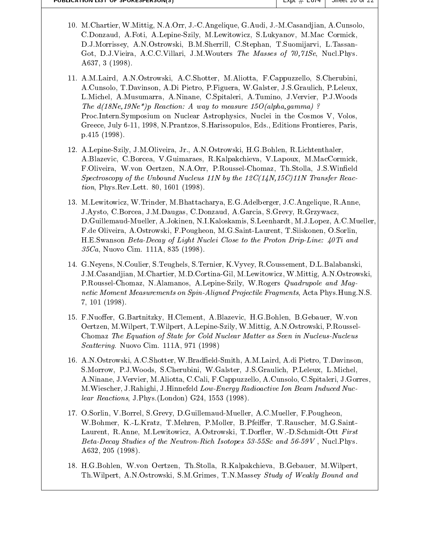| PUBLICATION LIST OF SPONESPERSON(S) |  |
|-------------------------------------|--|
|-------------------------------------|--|

- matter-than the contract of the company of the contract of the contract of the contract of the contract of a Alepine Szily- and Mac Corpination and Mac Corpination and Mac Corpination and Mac Corpination and Mac Corpi DJMorrissey- ANOstrowski- BMSherrill- CStephan- TSuomijarvi- LTassan Got- DJVieira- ACCVillari- JMWouters The Masses of Se- NuclPhys a contract the contract of the contract of the contract of the contract of the contract of the contract of the
- and the company that activities is not a company that the continuation of the company of the company of the co ACunsolo- TDavinson- ADi Pietro- PFiguera- WGalster- JSGraulich- PLeleux-LMichel- AMusumarra- ANinane- CSpitaleri- ATumino- JVervier- PJWoods The dNe
Ne-p Reaction A way to measure Oalphagammathe contract of the contract of the contract of the contract of the contract of the contract of the contract of ProcInternSymposium on Nuclear Astrophysics- Nuclei in the Cosmos V- Volos-Greece- July - - NPrantzos- SHarissopulos- Eds- Editions Frontieres- Paris $p.415(1998)$ .
- ALepineSzily- JMOliveira- Jr- ANOstrowski- HGBohlen- RLichtenthaler-ABlazevic- CBorcea- VGuimaraes- RKalpakchieva- VLapoux- MMacCormick-FOliveira- Wvon Oertzen- NAOrr- PRousselChomaz- ThStolla- JSWineld Spectroscopy of the Unbound Nucleus N by the CN C-N Transfer Reac tion-letter and the settlement of the settlement of the settlement of the settlement of the settlement of the s
- MLewitowicz- WTrinder- MBhattacharya- EGAdelberger- JCAngelique- RAnneagarcia- Jaysto-Jaysto-Jaysto-Jaysto-Jaysto-Jaysto-Jaysto-Jaysto-Jaysto-Jaysto-Jaysto-Jaysto-Jaysto-Jaysto-Jay die verwyse van die verwyse van die verwyse van die verwyse van die verwyse van die verwyse van die verwyse va Fde Oliveira- AOstrowski- FPougheon- MGSaintLaurent- TSiiskonen- OSorlin-H.E.Swanson Beta-Decay of Light Nuclei Close to the Proton Drip-Line:  $\angle 40Ti$  and <u> Cael A-Maria Campo A-A-A-Cael Cael (A-A-A-</u>).
- ens- NC-albanski-steughels- (\* 1989), steug-steug-steug-steug-steug-steug-steug-steug-steug-steug-steug-steug-JMCasandjian- MChartier- MDCortinaGil- MLewitowicz- WMittig- ANOstrowski-PRousselChomaz- NAlamanos- ALepineSzily- WRogers Quadrupole and Mag netic Moment Measurements on SpinAligned Projectile Fragments-Completency Projection Projection Projection Pro -
- FNuoer- GBartnitzky- HClement- ABlazevic- HGBohlen- BGebauer- Wvon Oertzen- MWilpert- TWilpert- ALepineSzily- WMittig- ANOstrowski- PRoussel Chomaz The Equation of State for Cold Nuclear Matter as Seen in Nucleus-Nucleus scattering and the communication of the set of the communication of the communication of the communication of the communication of the communication of the communication of the communication of the communication of the com
- ANOstrowski- ACShotter- WBradeldSmith- AMLaird- Adi Pietro- TDavinson-SMorrow- PJWoods- SCherubini- WGalster- JSGraulich- PLeleux- LMichel-ANinane- JVervier- MAliotta- CCali- FCappuzzello- ACunsolo- CSpitaleri- JGorres-MWiescher- JRahighi- JHinnefeld LowEnergy Radioactive Ion Beam Induced Nuc lear avenue in give my sigma more y which we have a property for the state of  $\mathcal{L}$
- OSorlin- VBorrel- SGrevy- DGuillemaudMueller- ACMueller- FPougheon-WBohmer- KLKratz- TMehren- PMoller- BPfeier- TRauscher- MGSaint Laurent- RAnne- MLewitowicz- AOstrowski- TDorer- WDSchmidtOtt First of the Neutron Rich Isotopes in the Neutron Rich Isotopes in the Neutron Rich Isotopes in the Neutron Rich Iso a contract the contract of the contract of the contract of the contract of the contract of the contract of the
- en oortzen-behalf in die Groepen verwendeling woording en een die deel van die heerste ThWilpert- ANOstrowski- SMGrimes- TNMassey Study of Weakly Bound and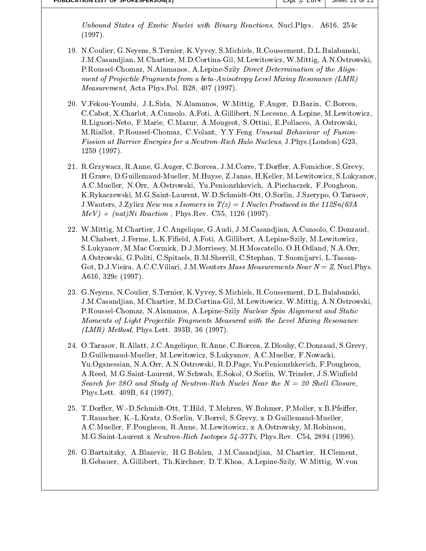University of Exotic States of Exotic Reactions-  $\frac{1}{2}$  and the states  $\frac{1}{2}$  and  $\frac{1}{2}$  and  $\frac{1}{2}$  and  $\frac{1}{2}$ <u>contracts</u> and contracts are a contract of the contracts of the contracts of the contracts of the contracts of the contracts of the contracts of the contracts of the contracts of the contracts of the contracts of the cont  $(1997).$ 

- NCoulier- GNeyens- STernier- KVyvey- SMichiels- RCoussement- DLBalabanski-JMCasandjian- MChartier- MDCortinaGil- MLewitowicz- WMittig- ANOstrowski-PRousselChomaz- NAlamanos- ALepineSzily Direct Determination of the Align ment of Projectile Fragments from a beta-Anisotropy Level Mixing Resonance  $(LMR)$ Measurement- Acta PhysPol B-
- International companies and companies international and approximation of the companies of the companies of the , which is a constant for a method and alepha and alepha acuses in the species of the constant constant in the RLiguoriNeto- FMarie- CMazur- AMougeot- SOttini- EPollacco- AOstrowskimathematic - Providence Chomatic Chomatic Chomatic Chomatic Chomatic Chomatic Chomatic Chomatic Chomatic Choma Fission at Barrier Energies for a NeutronRich Halo Nucleus- JPhysLondon G - $1259(1997).$
- rgray are the corresponding to the corresponding to the corresponding to the corresponding to the corresponding of the corresponding to the corresponding to the corresponding to the corresponding to the corresponding to th in a barance and multiplier and multiplier- and multiplier- and multiplier- and multiplier- and multiplier- and ACMueller- NOrr- AOstrowski- YuPenionzhkevich- APiechaczek- FPougheon-KRykaczewski- MGSaintLaurent- WDSchmidtOtt- OSorlin- JSzerypo- OTarasov-JWauters- JZylicz New mu s Isomers in Tz- Nuclei Produced in the Sn A mever and the complete order of the complete and the complete state of the complete state of the complete state of the complete state of the complete state of the complete state of the complete state of the complete state
- WMittig- MChartier- JCAngelique- GAudi- JMCasandjian- ACunsolo- CDonzaud-MChabert- JFerme- LKField- AFoti- AGillibert- ALepineSzily- MLewitowicz-SLukyanov- MMac Cormick- DJMorrissey- MHMoscatello- OHOdland- NAOrr-AOSTROWSKI-LI LTASSAN (LTASSAN HALL) – LTASSAN (LTASSAN HALL) – LTASSAN HALL) – LTASSAN (LTASSAN HALL) – LTASS Got- DJVieira- ACCVillari- JMWouters Mass Measurements Near N Z- NuclPhys A - c
- GNeyens- NCoulier- STernier- KVyvey- SMichiels- RCoussement- DLBalabanski-, which is a mortinagil- and cortinagil- and cortinagil- and cortinagil- and cortinagil- and continuing a second cortinagil-PRousselChomaz- NAlamanos- ALepineSzily Nuclear Spin Alignment and Static Moments of Light Projectile Fragments Measured with the Level Mixing Resonance LMR- Method- PhysLett B-
- a Ranne-State (1989), and the contraction of the contraction of the contraction of the contraction of the contraction of the contraction of the contraction of the contraction of the contraction of the contraction of the co die eerste wind wat die eerste koning van die eerste koning van die eerste koning van die eerste koning van di , was a government of the state of the state of the state of the state of the state of the state of the state o are the source of the society of the society of the society of the society of the theoretical contract of the society of the society of the society of the society of the society of the society of the society of the society Search for 280 and Study of Neutron-Rich Nuclei Near the  $N = 20$  Shell Closure. PhysLett B-
- TDorer- WDSchmidtOtt- THild- TMehren- WBohmer- PMoller- x BPfeiertrauscher-Poster-Poster-Poster-Poster-Poster-Poster-Poster-Poster-Poster-Poster-Poster-Poster-Poster-Poster-Po ACMueller- FPougheon- RAnne- MLewitowicz- x AOstrowsky- MRobinsonmgsa international property in the second property of the second property of the second property of the second p
- die geskieden is die geskieden waaronder die geskieden ook die geskieden op die geskieden op die geskieden op d - Alepine State - District - District - District - District - District - Alepine - Alepine - Alepine - Alepine